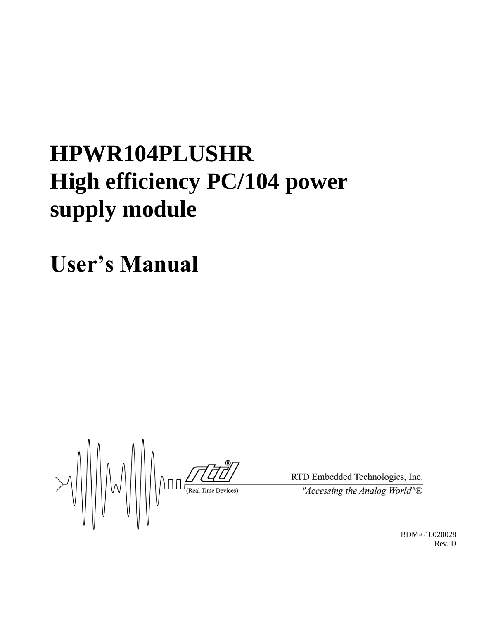# **HPWR104PLUSHR High efficiency PC/104 power supply module**

**User's Manual**

 $\frac{1}{\frac{1}{\sqrt{1-\frac{1}{\sqrt{1-\frac{1}{\sqrt{1-\frac{1}{\sqrt{1-\frac{1}{\sqrt{1-\frac{1}{\sqrt{1-\frac{1}{\sqrt{1-\frac{1}{\sqrt{1-\frac{1}{\sqrt{1-\frac{1}{\sqrt{1-\frac{1}{\sqrt{1-\frac{1}{\sqrt{1-\frac{1}{\sqrt{1-\frac{1}{\sqrt{1-\frac{1}{\sqrt{1-\frac{1}{\sqrt{1-\frac{1}{\sqrt{1-\frac{1}{\sqrt{1-\frac{1}{\sqrt{1-\frac{1}{\sqrt{1-\frac{1}{\sqrt{1-\frac{1}{\sqrt{1-\frac{1}{\sqrt{1-\frac{1}{\sqrt{$ 

RTD Embedded Technologies, Inc. "Accessing the Analog World"®

> BDM-610020028 Rev. D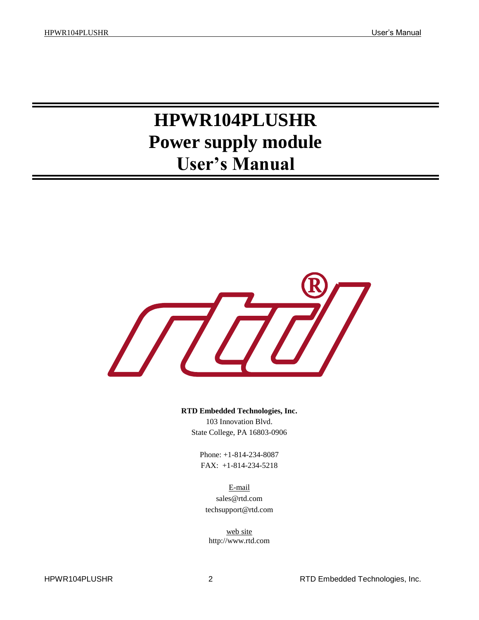## **HPWR104PLUSHR Power supply module User's Manual**



**RTD Embedded Technologies, Inc.** 103 Innovation Blvd. State College, PA 16803-0906

> Phone: +1-814-234-8087 FAX: +1-814-234-5218

E-mail sales@rtd.com techsupport@rtd.com

web site http://www.rtd.com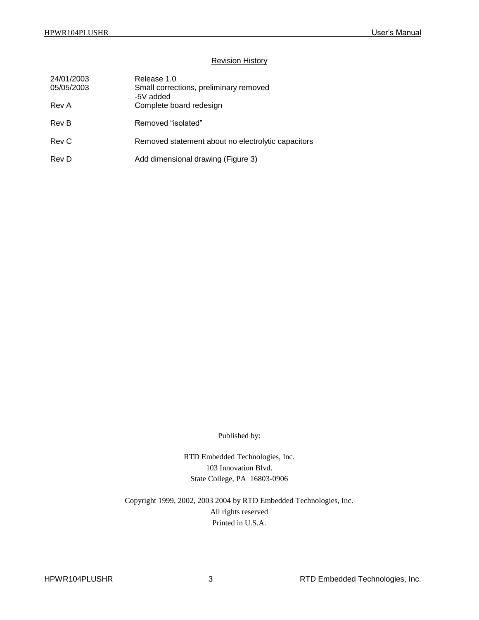#### Revision History

| 24/01/2003<br>05/05/2003 | Release 1.0<br>Small corrections, preliminary removed<br>-5V added |
|--------------------------|--------------------------------------------------------------------|
| Rev A                    | Complete board redesign                                            |
| Rev B                    | Removed "isolated"                                                 |
| Rev C                    | Removed statement about no electrolytic capacitors                 |
| Rev D                    | Add dimensional drawing (Figure 3)                                 |

Published by:

RTD Embedded Technologies, Inc. 103 Innovation Blvd. State College, PA 16803-0906

Copyright 1999, 2002, 2003 2004 by RTD Embedded Technologies, Inc. All rights reserved Printed in U.S.A.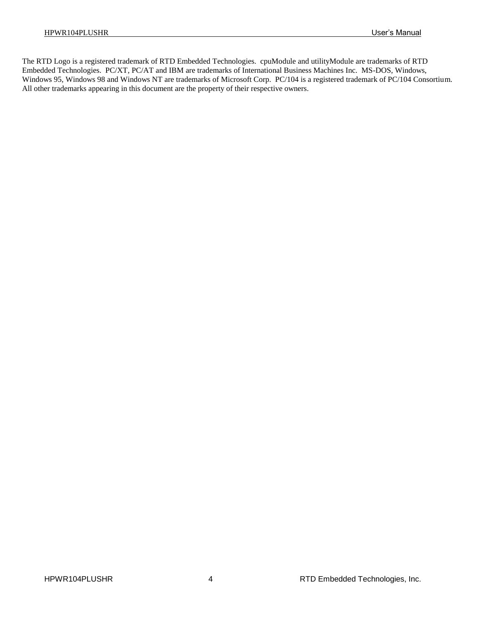The RTD Logo is a registered trademark of RTD Embedded Technologies. cpuModule and utilityModule are trademarks of RTD Embedded Technologies. PC/XT, PC/AT and IBM are trademarks of International Business Machines Inc. MS-DOS, Windows, Windows 95, Windows 98 and Windows NT are trademarks of Microsoft Corp. PC/104 is a registered trademark of PC/104 Consortium. All other trademarks appearing in this document are the property of their respective owners.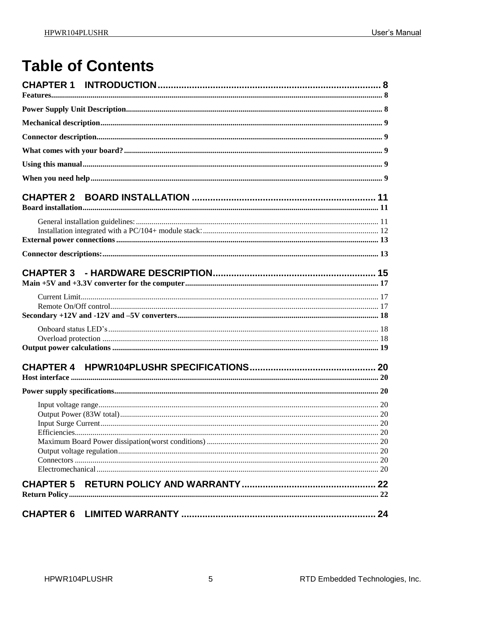## **Table of Contents**

| <b>CHAPTER 5</b> |  |
|------------------|--|
|                  |  |
|                  |  |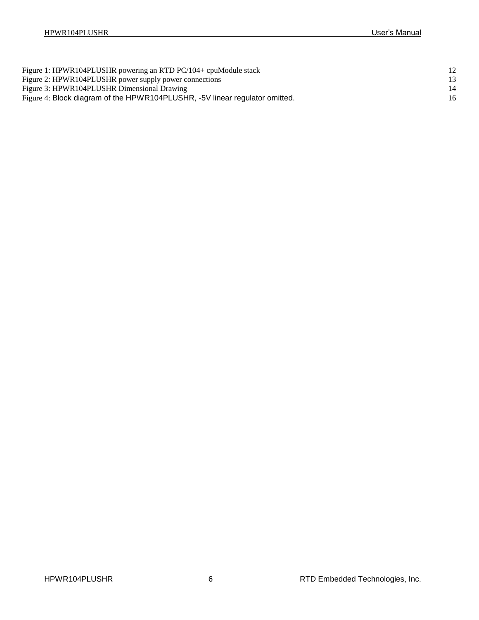| Figure 1: HPWR104PLUSHR powering an RTD PC/104+ cpuModule stack             |    |
|-----------------------------------------------------------------------------|----|
| Figure 2: HPWR104PLUSHR power supply power connections                      |    |
| Figure 3: HPWR104PLUSHR Dimensional Drawing                                 | 14 |
| Figure 4: Block diagram of the HPWR104PLUSHR, -5V linear regulator omitted. |    |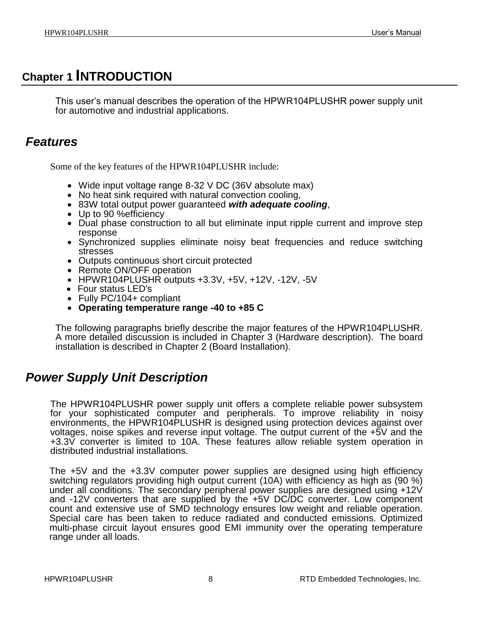## <span id="page-7-0"></span>**Chapter 1 INTRODUCTION**

This user's manual describes the operation of the HPWR104PLUSHR power supply unit for automotive and industrial applications.

## <span id="page-7-1"></span>*Features*

Some of the key features of the HPWR104PLUSHR include:

- Wide input voltage range 8-32 V DC (36V absolute max)
- No heat sink required with natural convection cooling,
- 83W total output power guaranteed *with adequate cooling*,
- Up to 90 % efficiency
- Dual phase construction to all but eliminate input ripple current and improve step response
- Synchronized supplies eliminate noisy beat frequencies and reduce switching stresses
- Outputs continuous short circuit protected
- Remote ON/OFF operation
- HPWR104PLUSHR outputs +3.3V, +5V, +12V, -12V, -5V
- Four status LED's
- Fully PC/104+ compliant
- **Operating temperature range -40 to +85 C**

The following paragraphs briefly describe the major features of the HPWR104PLUSHR. A more detailed discussion is included in Chapter 3 (Hardware description). The board installation is described in Chapter 2 (Board Installation).

## <span id="page-7-2"></span>*Power Supply Unit Description*

The HPWR104PLUSHR power supply unit offers a complete reliable power subsystem for your sophisticated computer and peripherals. To improve reliability in noisy environments, the HPWR104PLUSHR is designed using protection devices against over voltages, noise spikes and reverse input voltage. The output current of the +5V and the +3.3V converter is limited to 10A. These features allow reliable system operation in distributed industrial installations.

The +5V and the +3.3V computer power supplies are designed using high efficiency switching regulators providing high output current (10A) with efficiency as high as (90 %) under all conditions. The secondary peripheral power supplies are designed using +12V and -12V converters that are supplied by the +5V DC/DC converter. Low component count and extensive use of SMD technology ensures low weight and reliable operation. Special care has been taken to reduce radiated and conducted emissions. Optimized multi-phase circuit layout ensures good EMI immunity over the operating temperature range under all loads.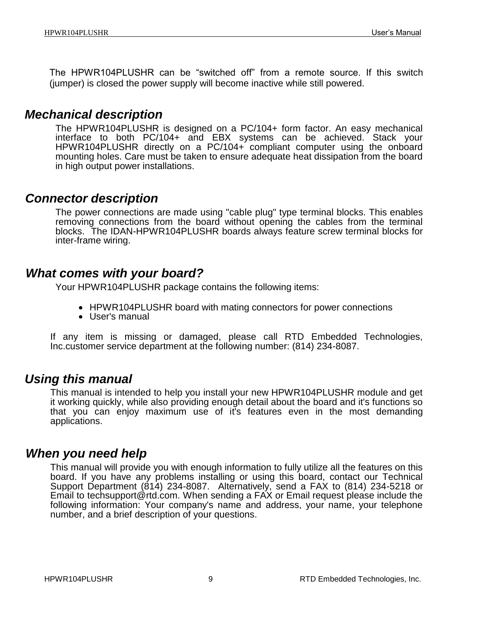The HPWR104PLUSHR can be "switched off" from a remote source. If this switch (jumper) is closed the power supply will become inactive while still powered.

### <span id="page-8-0"></span>*Mechanical description*

The HPWR104PLUSHR is designed on a PC/104+ form factor. An easy mechanical interface to both PC/104+ and EBX systems can be achieved. Stack your HPWR104PLUSHR directly on a PC/104+ compliant computer using the onboard mounting holes. Care must be taken to ensure adequate heat dissipation from the board in high output power installations.

### <span id="page-8-1"></span>*Connector description*

The power connections are made using "cable plug" type terminal blocks. This enables removing connections from the board without opening the cables from the terminal blocks. The IDAN-HPWR104PLUSHR boards always feature screw terminal blocks for inter-frame wiring.

## <span id="page-8-2"></span>*What comes with your board?*

Your HPWR104PLUSHR package contains the following items:

- HPWR104PLUSHR board with mating connectors for power connections
- User's manual

If any item is missing or damaged, please call RTD Embedded Technologies, Inc.customer service department at the following number: (814) 234-8087.

## <span id="page-8-3"></span>*Using this manual*

This manual is intended to help you install your new HPWR104PLUSHR module and get it working quickly, while also providing enough detail about the board and it's functions so that you can enjoy maximum use of it's features even in the most demanding applications.

## <span id="page-8-4"></span>*When you need help*

This manual will provide you with enough information to fully utilize all the features on this board. If you have any problems installing or using this board, contact our Technical Support Department (814) 234-8087. Alternatively, send a FAX to (814) 234-5218 or Email to techsupport@rtd.com. When sending a FAX or Email request please include the following information: Your company's name and address, your name, your telephone number, and a brief description of your questions.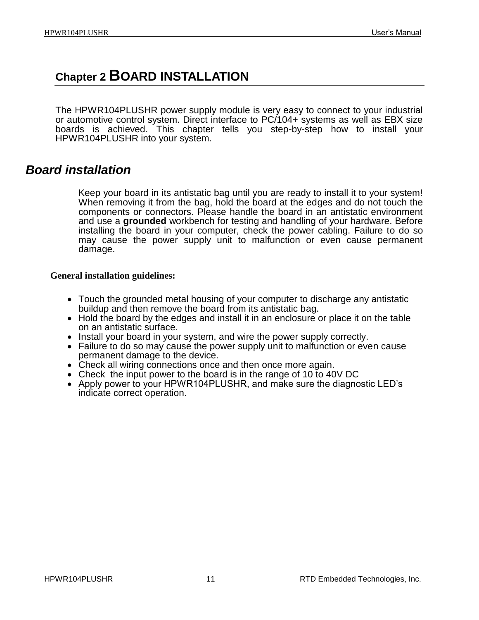## <span id="page-10-0"></span>**Chapter 2 BOARD INSTALLATION**

The HPWR104PLUSHR power supply module is very easy to connect to your industrial or automotive control system. Direct interface to PC/104+ systems as well as EBX size boards is achieved. This chapter tells you step-by-step how to install your HPWR104PLUSHR into your system.

### <span id="page-10-1"></span>*Board installation*

Keep your board in its antistatic bag until you are ready to install it to your system! When removing it from the bag, hold the board at the edges and do not touch the components or connectors. Please handle the board in an antistatic environment and use a **grounded** workbench for testing and handling of your hardware. Before installing the board in your computer, check the power cabling. Failure to do so may cause the power supply unit to malfunction or even cause permanent damage.

### <span id="page-10-2"></span>**General installation guidelines:**

- Touch the grounded metal housing of your computer to discharge any antistatic buildup and then remove the board from its antistatic bag.
- Hold the board by the edges and install it in an enclosure or place it on the table on an antistatic surface.
- Install your board in your system, and wire the power supply correctly.
- Failure to do so may cause the power supply unit to malfunction or even cause permanent damage to the device.
- Check all wiring connections once and then once more again.
- Check the input power to the board is in the range of 10 to 40V DC
- Apply power to your HPWR104PLUSHR, and make sure the diagnostic LED's indicate correct operation.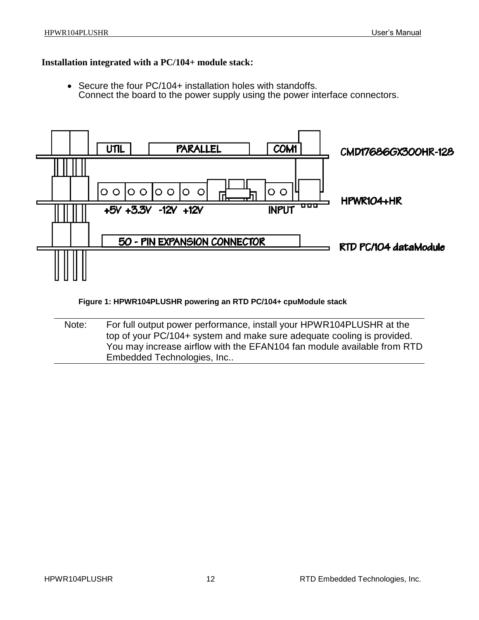#### <span id="page-11-0"></span>**Installation integrated with a PC/104+ module stack:**

• Secure the four PC/104+ installation holes with standoffs. Connect the board to the power supply using the power interface connectors.



**Figure 1: HPWR104PLUSHR powering an RTD PC/104+ cpuModule stack**

<span id="page-11-1"></span>Note: For full output power performance, install your HPWR104PLUSHR at the top of your PC/104+ system and make sure adequate cooling is provided. You may increase airflow with the EFAN104 fan module available from RTD Embedded Technologies, Inc..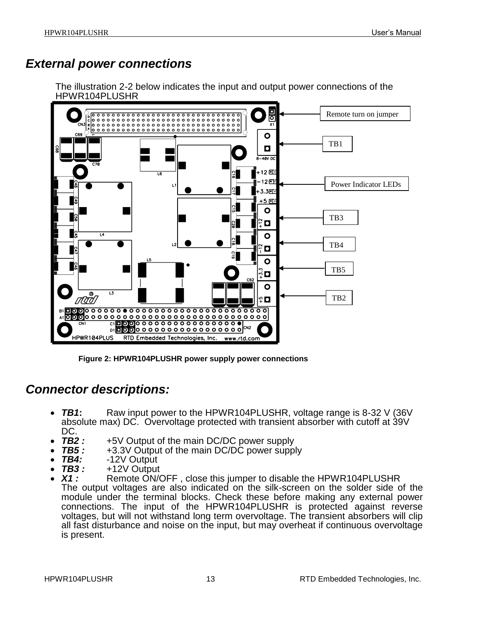## <span id="page-12-0"></span>*External power connections*

The illustration 2-2 below indicates the input and output power connections of the HPWR104PLUSHR



**Figure 2: HPWR104PLUSHR power supply power connections**

## <span id="page-12-2"></span><span id="page-12-1"></span>*Connector descriptions:*

- *TB1***:** Raw input power to the HPWR104PLUSHR, voltage range is 8-32 V (36V absolute max) DC. Overvoltage protected with transient absorber with cutoff at 39V
- DC.<br>*TB2:* **TB2**: +5V Output of the main DC/DC power supply<br>**TB5**: +3.3V Output of the main DC/DC power supp
- **TB5 :** +3.3V Output of the main DC/DC power supply<br>**TB4:** -12V Output
- **TB4:** -12V Output<br>**TB3:** +12V Output
- **TB3 :** +12V Output<br>**X1 :** Remote ON/
- *X1 :* Remote ON/OFF , close this jumper to disable the HPWR104PLUSHR The output voltages are also indicated on the silk-screen on the solder side of the module under the terminal blocks. Check these before making any external power connections. The input of the HPWR104PLUSHR is protected against reverse voltages, but will not withstand long term overvoltage. The transient absorbers will clip all fast disturbance and noise on the input, but may overheat if continuous overvoltage is present.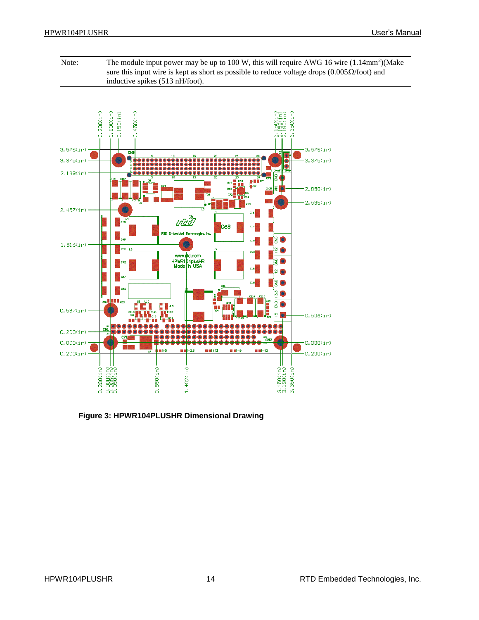Note: The module input power may be up to  $100 \text{ W}$ , this will require AWG 16 wire  $(1.14 \text{mm}^2)$ (Make sure this input wire is kept as short as possible to reduce voltage drops (0.005 $\Omega$ /foot) and inductive spikes (513 nH/foot).



<span id="page-13-0"></span>**Figure 3: HPWR104PLUSHR Dimensional Drawing**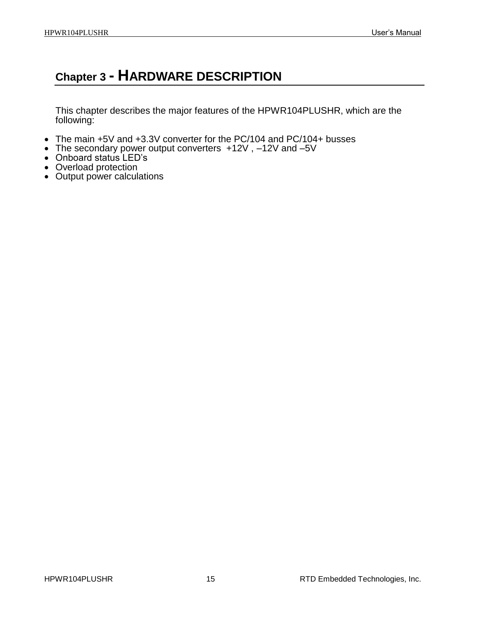## <span id="page-14-0"></span>**Chapter 3 - HARDWARE DESCRIPTION**

This chapter describes the major features of the HPWR104PLUSHR, which are the following:

- The main +5V and +3.3V converter for the PC/104 and PC/104+ busses
- The secondary power output converters +12V , –12V and –5V
- Onboard status LED's
- Overload protection
- Output power calculations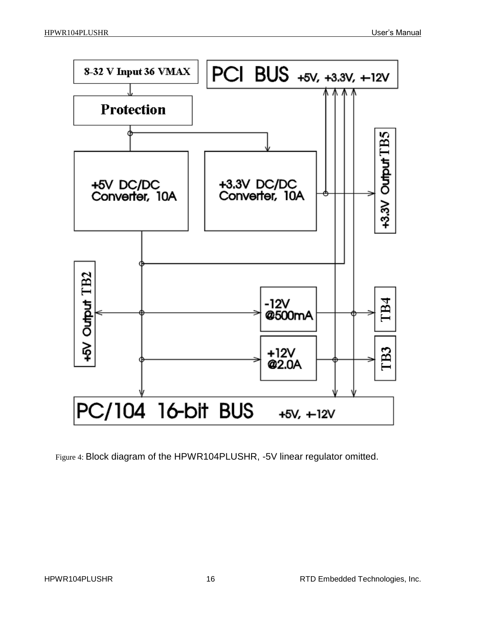

<span id="page-15-0"></span>Figure 4: Block diagram of the HPWR104PLUSHR, -5V linear regulator omitted.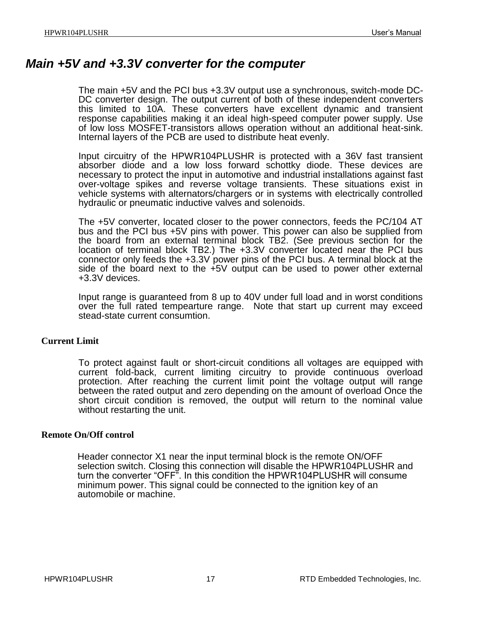### <span id="page-16-0"></span>*Main +5V and +3.3V converter for the computer*

The main +5V and the PCI bus +3.3V output use a synchronous, switch-mode DC-DC converter design. The output current of both of these independent converters this limited to 10A. These converters have excellent dynamic and transient response capabilities making it an ideal high-speed computer power supply. Use of low loss MOSFET-transistors allows operation without an additional heat-sink. Internal layers of the PCB are used to distribute heat evenly.

Input circuitry of the HPWR104PLUSHR is protected with a 36V fast transient absorber diode and a low loss forward schottky diode. These devices are necessary to protect the input in automotive and industrial installations against fast over-voltage spikes and reverse voltage transients. These situations exist in vehicle systems with alternators/chargers or in systems with electrically controlled hydraulic or pneumatic inductive valves and solenoids.

The +5V converter, located closer to the power connectors, feeds the PC/104 AT bus and the PCI bus +5V pins with power. This power can also be supplied from the board from an external terminal block TB2. (See previous section for the location of terminal block TB2.) The +3.3V converter located near the PCI bus connector only feeds the +3.3V power pins of the PCI bus. A terminal block at the side of the board next to the +5V output can be used to power other external +3.3V devices.

Input range is guaranteed from 8 up to 40V under full load and in worst conditions over the full rated tempearture range. Note that start up current may exceed stead-state current consumtion.

### <span id="page-16-1"></span>**Current Limit**

To protect against fault or short-circuit conditions all voltages are equipped with current fold-back, current limiting circuitry to provide continuous overload protection. After reaching the current limit point the voltage output will range between the rated output and zero depending on the amount of overload Once the short circuit condition is removed, the output will return to the nominal value without restarting the unit.

### <span id="page-16-2"></span>**Remote On/Off control**

Header connector X1 near the input terminal block is the remote ON/OFF selection switch. Closing this connection will disable the HPWR104PLUSHR and turn the converter "OFF". In this condition the HPWR104PLUSHR will consume minimum power. This signal could be connected to the ignition key of an automobile or machine.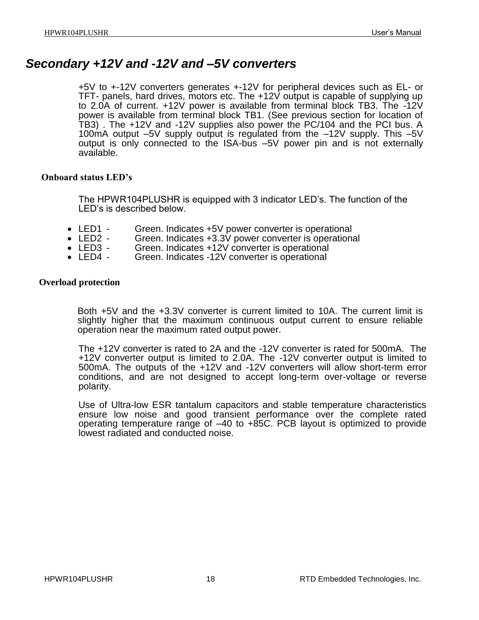## <span id="page-17-0"></span>*Secondary +12V and -12V and –5V converters*

+5V to +-12V converters generates +-12V for peripheral devices such as EL- or TFT- panels, hard drives, motors etc. The +12V output is capable of supplying up to 2.0A of current. +12V power is available from terminal block TB3. The -12V power is available from terminal block TB1. (See previous section for location of TB3) . The +12V and -12V supplies also power the PC/104 and the PCI bus. A 100mA output –5V supply output is regulated from the –12V supply. This –5V output is only connected to the ISA-bus –5V power pin and is not externally available.

### <span id="page-17-1"></span>**Onboard status LED's**

The HPWR104PLUSHR is equipped with 3 indicator LED's. The function of the LED's is described below.

- LED1 Green. Indicates +5V power converter is operational<br>• LED2 Green. Indicates +3.3V power converter is operational
- LED2 Green. Indicates +3.3V power converter is operational<br>• LED3 Green. Indicates +12V converter is operational
- LED3 Green. Indicates +12V converter is operational<br>• LED4 Green. Indicates -12V converter is operational
- Green. Indicates -12V converter is operational

#### <span id="page-17-2"></span>**Overload protection**

Both +5V and the +3.3V converter is current limited to 10A. The current limit is slightly higher that the maximum continuous output current to ensure reliable operation near the maximum rated output power.

The +12V converter is rated to 2A and the -12V converter is rated for 500mA. The +12V converter output is limited to 2.0A. The -12V converter output is limited to 500mA. The outputs of the +12V and -12V converters will allow short-term error conditions, and are not designed to accept long-term over-voltage or reverse polarity.

Use of Ultra-low ESR tantalum capacitors and stable temperature characteristics ensure low noise and good transient performance over the complete rated operating temperature range of –40 to +85C. PCB layout is optimized to provide lowest radiated and conducted noise.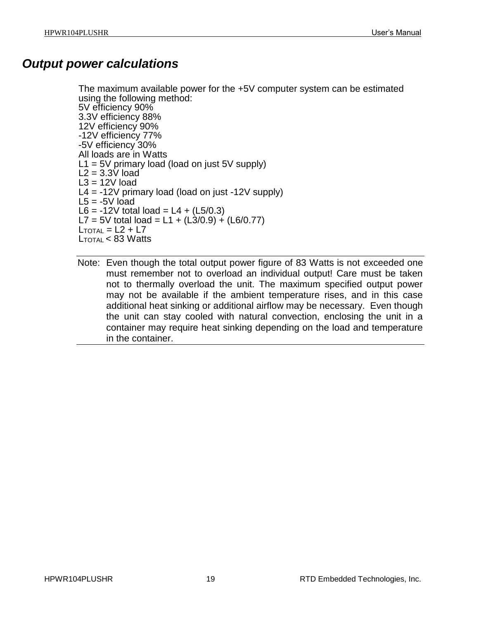## <span id="page-18-0"></span>*Output power calculations*

The maximum available power for the +5V computer system can be estimated using the following method: 5V efficiency 90% 3.3V efficiency 88% 12V efficiency 90% -12V efficiency 77% -5V efficiency 30% All loads are in Watts  $L1 = 5V$  primary load (load on just 5V supply)  $L2 = 3.3V$  load  $L3 = 12V$  load L4 =  $-12V$  primary load (load on just  $-12V$  supply)  $L5 = -5V$  load L6 =  $-12V$  total load = L4 + (L5/0.3) L7 = 5V total load = L1 +  $(L3/0.9) + (L6/0.77)$  $L_{\text{TOTAI}} = L2 + L7$  $L_{\text{TOTAl}} < 83 \text{ Watts}$ 

Note: Even though the total output power figure of 83 Watts is not exceeded one must remember not to overload an individual output! Care must be taken not to thermally overload the unit. The maximum specified output power may not be available if the ambient temperature rises, and in this case additional heat sinking or additional airflow may be necessary. Even though the unit can stay cooled with natural convection, enclosing the unit in a container may require heat sinking depending on the load and temperature in the container.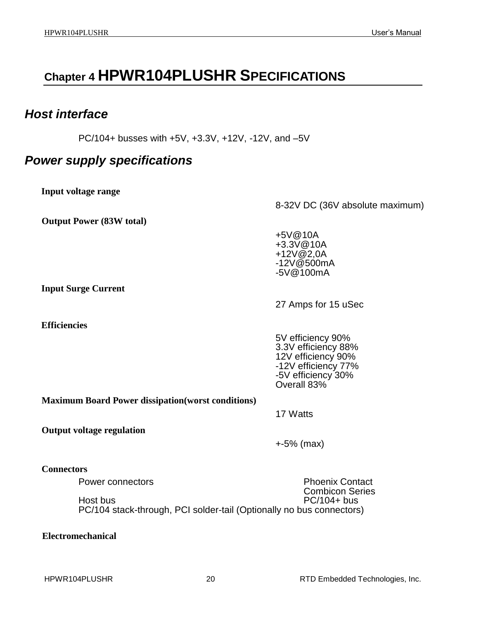## <span id="page-19-0"></span>**Chapter 4 HPWR104PLUSHR SPECIFICATIONS**

## <span id="page-19-1"></span>*Host interface*

PC/104+ busses with +5V, +3.3V, +12V, -12V, and –5V

## <span id="page-19-2"></span>*Power supply specifications*

<span id="page-19-3"></span>**Input voltage range**

<span id="page-19-4"></span>**Output Power (83W total)**

8-32V DC (36V absolute maximum)

+5V@10A +3.3V@10A +12V@2,0A -12V@500mA -5V@100mA

<span id="page-19-5"></span>**Input Surge Current**

<span id="page-19-6"></span>**Efficiencies** 

27 Amps for 15 uSec

5V efficiency 90% 3.3V efficiency 88% 12V efficiency 90% -12V efficiency 77% -5V efficiency 30% Overall 83%

<span id="page-19-7"></span>**Maximum Board Power dissipation(worst conditions)**

17 Watts

<span id="page-19-8"></span>**Output voltage regulation**

+-5% (max)

### <span id="page-19-9"></span>**Connectors**

Power connectors **Phoenix Contact** Combicon Series Host bus PC/104+ bus PC/104 stack-through, PCI solder-tail (Optionally no bus connectors)

<span id="page-19-10"></span>**Electromechanical**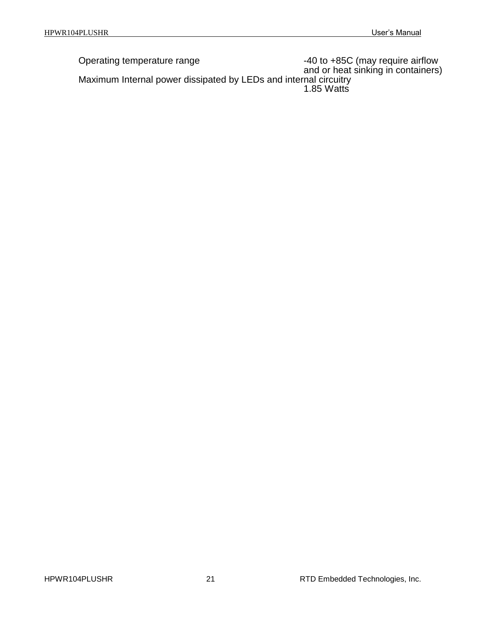Operating temperature range  $-40$  to +85C (may require airflow and or heat sinking in containers) Maximum Internal power dissipated by LEDs and internal circuitry 1.85 Watts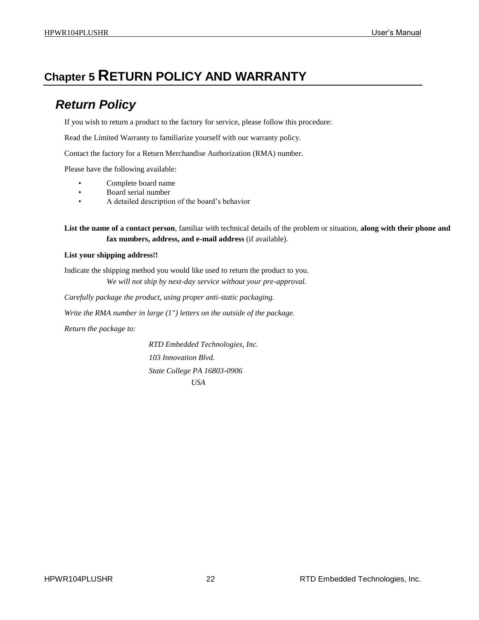## <span id="page-21-1"></span><span id="page-21-0"></span>**Chapter 5 RETURN POLICY AND WARRANTY**

## *Return Policy*

If you wish to return a product to the factory for service, please follow this procedure:

Read the Limited Warranty to familiarize yourself with our warranty policy.

Contact the factory for a Return Merchandise Authorization (RMA) number.

Please have the following available:

- Complete board name
- Board serial number
- A detailed description of the board's behavior

**List the name of a contact person**, familiar with technical details of the problem or situation, **along with their phone and fax numbers, address, and e-mail address** (if available).

#### **List your shipping address!!**

Indicate the shipping method you would like used to return the product to you. *We will not ship by next-day service without your pre-approval.*

*Carefully package the product, using proper anti-static packaging.*

*Write the RMA number in large (1") letters on the outside of the package.*

*Return the package to:*

*RTD Embedded Technologies, Inc. 103 Innovation Blvd. State College PA 16803-0906 USA*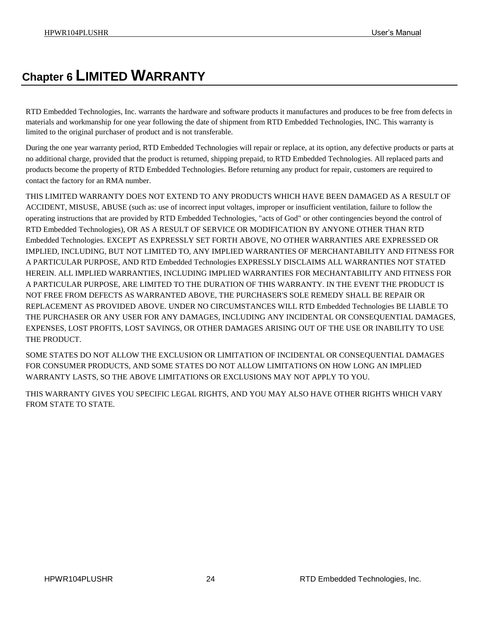## <span id="page-23-0"></span>**Chapter 6 LIMITED WARRANTY**

RTD Embedded Technologies, Inc. warrants the hardware and software products it manufactures and produces to be free from defects in materials and workmanship for one year following the date of shipment from RTD Embedded Technologies, INC. This warranty is limited to the original purchaser of product and is not transferable.

During the one year warranty period, RTD Embedded Technologies will repair or replace, at its option, any defective products or parts at no additional charge, provided that the product is returned, shipping prepaid, to RTD Embedded Technologies. All replaced parts and products become the property of RTD Embedded Technologies. Before returning any product for repair, customers are required to contact the factory for an RMA number.

THIS LIMITED WARRANTY DOES NOT EXTEND TO ANY PRODUCTS WHICH HAVE BEEN DAMAGED AS A RESULT OF ACCIDENT, MISUSE, ABUSE (such as: use of incorrect input voltages, improper or insufficient ventilation, failure to follow the operating instructions that are provided by RTD Embedded Technologies, "acts of God" or other contingencies beyond the control of RTD Embedded Technologies), OR AS A RESULT OF SERVICE OR MODIFICATION BY ANYONE OTHER THAN RTD Embedded Technologies. EXCEPT AS EXPRESSLY SET FORTH ABOVE, NO OTHER WARRANTIES ARE EXPRESSED OR IMPLIED, INCLUDING, BUT NOT LIMITED TO, ANY IMPLIED WARRANTIES OF MERCHANTABILITY AND FITNESS FOR A PARTICULAR PURPOSE, AND RTD Embedded Technologies EXPRESSLY DISCLAIMS ALL WARRANTIES NOT STATED HEREIN. ALL IMPLIED WARRANTIES, INCLUDING IMPLIED WARRANTIES FOR MECHANTABILITY AND FITNESS FOR A PARTICULAR PURPOSE, ARE LIMITED TO THE DURATION OF THIS WARRANTY. IN THE EVENT THE PRODUCT IS NOT FREE FROM DEFECTS AS WARRANTED ABOVE, THE PURCHASER'S SOLE REMEDY SHALL BE REPAIR OR REPLACEMENT AS PROVIDED ABOVE. UNDER NO CIRCUMSTANCES WILL RTD Embedded Technologies BE LIABLE TO THE PURCHASER OR ANY USER FOR ANY DAMAGES, INCLUDING ANY INCIDENTAL OR CONSEQUENTIAL DAMAGES, EXPENSES, LOST PROFITS, LOST SAVINGS, OR OTHER DAMAGES ARISING OUT OF THE USE OR INABILITY TO USE THE PRODUCT.

SOME STATES DO NOT ALLOW THE EXCLUSION OR LIMITATION OF INCIDENTAL OR CONSEQUENTIAL DAMAGES FOR CONSUMER PRODUCTS, AND SOME STATES DO NOT ALLOW LIMITATIONS ON HOW LONG AN IMPLIED WARRANTY LASTS, SO THE ABOVE LIMITATIONS OR EXCLUSIONS MAY NOT APPLY TO YOU.

THIS WARRANTY GIVES YOU SPECIFIC LEGAL RIGHTS, AND YOU MAY ALSO HAVE OTHER RIGHTS WHICH VARY FROM STATE TO STATE.